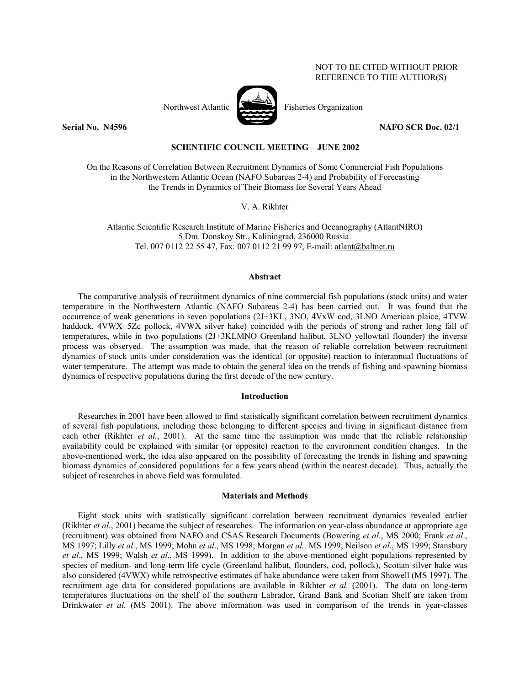# NOT TO BE CITED WITHOUT PRIOR REFERENCE TO THE AUTHOR(S)



Northwest Atlantic Fisheries Organization

**Serial No. N4596 NAFO SCR Doc. 02/1** 

# **SCIENTIFIC COUNCIL MEETING – JUNE 2002**

On the Reasons of Correlation Between Recruitment Dynamics of Some Commercial Fish Populations in the Northwestern Atlantic Ocean (NAFO Subareas 2-4) and Probability of Forecasting the Trends in Dynamics of Their Biomass for Several Years Ahead

V. A. Rikhter

Atlantic Scientific Research Institute of Marine Fisheries and Oceanography (AtlantNIRO) 5 Dm. Donskoy Str., Kaliningrad, 236000 Russia. Tel. 007 0112 22 55 47, Fax: 007 0112 21 99 97, E-mail: atlant@baltnet.ru

### **Abstract**

The comparative analysis of recruitment dynamics of nine commercial fish populations (stock units) and water temperature in the Northwestern Atlantic (NAFO Subareas 2-4) has been carried out. It was found that the occurrence of weak generations in seven populations (2J+3KL, 3NO, 4VxW cod, 3LNO American plaice, 4TVW haddock, 4VWX+5Zc pollock, 4VWX silver hake) coincided with the periods of strong and rather long fall of temperatures, while in two populations (2J+3KLMNO Greenland halibut, 3LNO yellowtail flounder) the inverse process was observed. The assumption was made, that the reason of reliable correlation between recruitment dynamics of stock units under consideration was the identical (or opposite) reaction to interannual fluctuations of water temperature. The attempt was made to obtain the general idea on the trends of fishing and spawning biomass dynamics of respective populations during the first decade of the new century.

## **Introduction**

Researches in 2001 have been allowed to find statistically significant correlation between recruitment dynamics of several fish populations, including those belonging to different species and living in significant distance from each other (Rikhter *et al.*, 2001). At the same time the assumption was made that the reliable relationship availability could be explained with similar (or opposite) reaction to the environment condition changes. In the above-mentioned work, the idea also appeared on the possibility of forecasting the trends in fishing and spawning biomass dynamics of considered populations for a few years ahead (within the nearest decade). Thus, actually the subject of researches in above field was formulated.

### **Materials and Methods**

Eight stock units with statistically significant correlation between recruitment dynamics revealed earlier (Rikhter *et al.*, 2001) became the subject of researches. The information on year-class abundance at appropriate age (recruitment) was obtained from NAFO and CSAS Research Documents (Bowering *et al*., MS 2000; Frank *et al*., MS 1997; Lilly *et al*., MS 1999; Mohn *et al*., MS 1998; Morgan *et al.,* MS 1999; Neilson *et al*., MS 1999; Stansbury *et al*., MS 1999; Walsh *et al*., MS 1999). In addition to the above-mentioned eight populations represented by species of medium- and long-term life cycle (Greenland halibut, flounders, cod, pollock), Scotian silver hake was also considered (4VWX) while retrospective estimates of hake abundance were taken from Showell (MS 1997). The recruitment age data for considered populations are available in Rikhter *et al.* (2001). The data on long-term temperatures fluctuations on the shelf of the southern Labrador, Grand Bank and Scotian Shelf are taken from Drinkwater *et al.* (MS 2001). The above information was used in comparison of the trends in year-classes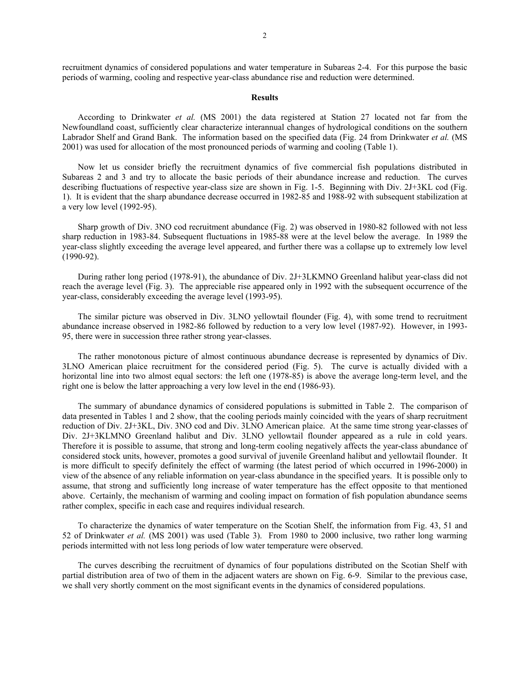recruitment dynamics of considered populations and water temperature in Subareas 2-4. For this purpose the basic periods of warming, cooling and respective year-class abundance rise and reduction were determined.

#### **Results**

According to Drinkwater *et al.* (MS 2001) the data registered at Station 27 located not far from the Newfoundland coast, sufficiently clear characterize interannual changes of hydrological conditions on the southern Labrador Shelf and Grand Bank. The information based on the specified data (Fig. 24 from Drinkwater *et al.* (MS 2001) was used for allocation of the most pronounced periods of warming and cooling (Table 1).

Now let us consider briefly the recruitment dynamics of five commercial fish populations distributed in Subareas 2 and 3 and try to allocate the basic periods of their abundance increase and reduction. The curves describing fluctuations of respective year-class size are shown in Fig. 1-5. Beginning with Div. 2J+3KL cod (Fig. 1). It is evident that the sharp abundance decrease occurred in 1982-85 and 1988-92 with subsequent stabilization at a very low level (1992-95).

Sharp growth of Div. 3NO cod recruitment abundance (Fig. 2) was observed in 1980-82 followed with not less sharp reduction in 1983-84. Subsequent fluctuations in 1985-88 were at the level below the average. In 1989 the year-class slightly exceeding the average level appeared, and further there was a collapse up to extremely low level (1990-92).

During rather long period (1978-91), the abundance of Div. 2J+3LKMNO Greenland halibut year-class did not reach the average level (Fig. 3). The appreciable rise appeared only in 1992 with the subsequent occurrence of the year-class, considerably exceeding the average level (1993-95).

The similar picture was observed in Div. 3LNO yellowtail flounder (Fig. 4), with some trend to recruitment abundance increase observed in 1982-86 followed by reduction to a very low level (1987-92). However, in 1993- 95, there were in succession three rather strong year-classes.

The rather monotonous picture of almost continuous abundance decrease is represented by dynamics of Div. 3LNO American plaice recruitment for the considered period (Fig. 5). The curve is actually divided with a horizontal line into two almost equal sectors: the left one (1978-85) is above the average long-term level, and the right one is below the latter approaching a very low level in the end (1986-93).

The summary of abundance dynamics of considered populations is submitted in Table 2. The comparison of data presented in Tables 1 and 2 show, that the cooling periods mainly coincided with the years of sharp recruitment reduction of Div. 2J+3KL, Div. 3NO cod and Div. 3LNO American plaice. At the same time strong year-classes of Div. 2J+3KLMNO Greenland halibut and Div. 3LNO yellowtail flounder appeared as a rule in cold years. Therefore it is possible to assume, that strong and long-term cooling negatively affects the year-class abundance of considered stock units, however, promotes a good survival of juvenile Greenland halibut and yellowtail flounder. It is more difficult to specify definitely the effect of warming (the latest period of which occurred in 1996-2000) in view of the absence of any reliable information on year-class abundance in the specified years. It is possible only to assume, that strong and sufficiently long increase of water temperature has the effect opposite to that mentioned above. Certainly, the mechanism of warming and cooling impact on formation of fish population abundance seems rather complex, specific in each case and requires individual research.

To characterize the dynamics of water temperature on the Scotian Shelf, the information from Fig. 43, 51 and 52 of Drinkwater *et al.* (MS 2001) was used (Table 3). From 1980 to 2000 inclusive, two rather long warming periods intermitted with not less long periods of low water temperature were observed.

The curves describing the recruitment of dynamics of four populations distributed on the Scotian Shelf with partial distribution area of two of them in the adjacent waters are shown on Fig. 6-9. Similar to the previous case, we shall very shortly comment on the most significant events in the dynamics of considered populations.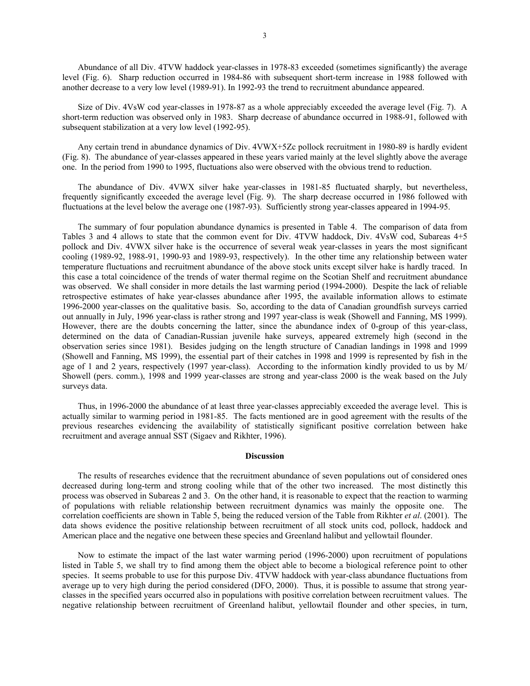Abundance of all Div. 4TVW haddock year-classes in 1978-83 exceeded (sometimes significantly) the average level (Fig. 6). Sharp reduction occurred in 1984-86 with subsequent short-term increase in 1988 followed with another decrease to a very low level (1989-91). In 1992-93 the trend to recruitment abundance appeared.

Size of Div. 4VsW cod year-classes in 1978-87 as a whole appreciably exceeded the average level (Fig. 7). A short-term reduction was observed only in 1983. Sharp decrease of abundance occurred in 1988-91, followed with subsequent stabilization at a very low level (1992-95).

Any certain trend in abundance dynamics of Div. 4VWX+5Zc pollock recruitment in 1980-89 is hardly evident (Fig. 8). The abundance of year-classes appeared in these years varied mainly at the level slightly above the average one. In the period from 1990 to 1995, fluctuations also were observed with the obvious trend to reduction.

The abundance of Div. 4VWX silver hake year-classes in 1981-85 fluctuated sharply, but nevertheless, frequently significantly exceeded the average level (Fig. 9). The sharp decrease occurred in 1986 followed with fluctuations at the level below the average one (1987-93). Sufficiently strong year-classes appeared in 1994-95.

The summary of four population abundance dynamics is presented in Table 4. The comparison of data from Tables 3 and 4 allows to state that the common event for Div. 4TVW haddock, Div. 4VsW cod, Subareas 4+5 pollock and Div. 4VWX silver hake is the occurrence of several weak year-classes in years the most significant cooling (1989-92, 1988-91, 1990-93 and 1989-93, respectively). In the other time any relationship between water temperature fluctuations and recruitment abundance of the above stock units except silver hake is hardly traced. In this case a total coincidence of the trends of water thermal regime on the Scotian Shelf and recruitment abundance was observed. We shall consider in more details the last warming period (1994-2000). Despite the lack of reliable retrospective estimates of hake year-classes abundance after 1995, the available information allows to estimate 1996-2000 year-classes on the qualitative basis. So, according to the data of Canadian groundfish surveys carried out annually in July, 1996 year-class is rather strong and 1997 year-class is weak (Showell and Fanning, MS 1999). However, there are the doubts concerning the latter, since the abundance index of 0-group of this year-class, determined on the data of Canadian-Russian juvenile hake surveys, appeared extremely high (second in the observation series since 1981). Besides judging on the length structure of Canadian landings in 1998 and 1999 (Showell and Fanning, MS 1999), the essential part of their catches in 1998 and 1999 is represented by fish in the age of 1 and 2 years, respectively (1997 year-class). According to the information kindly provided to us by M/ Showell (pers. comm.), 1998 and 1999 year-classes are strong and year-class 2000 is the weak based on the July surveys data.

Thus, in 1996-2000 the abundance of at least three year-classes appreciably exceeded the average level. This is actually similar to warming period in 1981-85. The facts mentioned are in good agreement with the results of the previous researches evidencing the availability of statistically significant positive correlation between hake recruitment and average annual SST (Sigaev and Rikhter, 1996).

#### **Discussion**

The results of researches evidence that the recruitment abundance of seven populations out of considered ones decreased during long-term and strong cooling while that of the other two increased. The most distinctly this process was observed in Subareas 2 and 3. On the other hand, it is reasonable to expect that the reaction to warming of populations with reliable relationship between recruitment dynamics was mainly the opposite one. The correlation coefficients are shown in Table 5, being the reduced version of the Table from Rikhter *et al*. (2001). The data shows evidence the positive relationship between recruitment of all stock units cod, pollock, haddock and American place and the negative one between these species and Greenland halibut and yellowtail flounder.

Now to estimate the impact of the last water warming period (1996-2000) upon recruitment of populations listed in Table 5, we shall try to find among them the object able to become a biological reference point to other species. It seems probable to use for this purpose Div. 4TVW haddock with year-class abundance fluctuations from average up to very high during the period considered (DFO, 2000). Thus, it is possible to assume that strong yearclasses in the specified years occurred also in populations with positive correlation between recruitment values. The negative relationship between recruitment of Greenland halibut, yellowtail flounder and other species, in turn,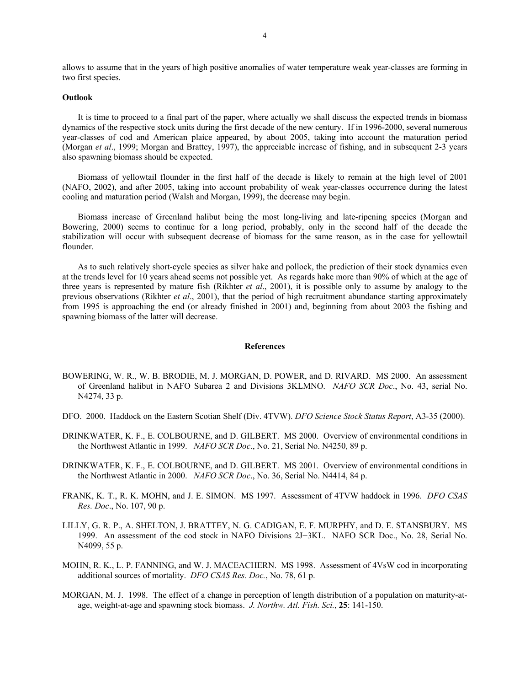allows to assume that in the years of high positive anomalies of water temperature weak year-classes are forming in two first species.

## **Outlook**

 It is time to proceed to a final part of the paper, where actually we shall discuss the expected trends in biomass dynamics of the respective stock units during the first decade of the new century. If in 1996-2000, several numerous year-classes of cod and American plaice appeared, by about 2005, taking into account the maturation period (Morgan *et al*., 1999; Morgan and Brattey, 1997), the appreciable increase of fishing, and in subsequent 2-3 years also spawning biomass should be expected.

 Biomass of yellowtail flounder in the first half of the decade is likely to remain at the high level of 2001 (NAFO, 2002), and after 2005, taking into account probability of weak year-classes occurrence during the latest cooling and maturation period (Walsh and Morgan, 1999), the decrease may begin.

 Biomass increase of Greenland halibut being the most long-living and late-ripening species (Morgan and Bowering, 2000) seems to continue for a long period, probably, only in the second half of the decade the stabilization will occur with subsequent decrease of biomass for the same reason, as in the case for yellowtail flounder.

 As to such relatively short-cycle species as silver hake and pollock, the prediction of their stock dynamics even at the trends level for 10 years ahead seems not possible yet. As regards hake more than 90% of which at the age of three years is represented by mature fish (Rikhter *et al*., 2001), it is possible only to assume by analogy to the previous observations (Rikhter *et al*., 2001), that the period of high recruitment abundance starting approximately from 1995 is approaching the end (or already finished in 2001) and, beginning from about 2003 the fishing and spawning biomass of the latter will decrease.

### **References**

- BOWERING, W. R., W. B. BRODIE, M. J. MORGAN, D. POWER, and D. RIVARD. MS 2000. An assessment of Greenland halibut in NAFO Subarea 2 and Divisions 3KLMNO. *NAFO SCR Doc*., No. 43, serial No. N4274, 33 p.
- DFO. 2000. Haddock on the Eastern Scotian Shelf (Div. 4TVW). *DFO Science Stock Status Report*, A3-35 (2000).
- DRINKWATER, K. F., E. COLBOURNE, and D. GILBERT. MS 2000. Overview of environmental conditions in the Northwest Atlantic in 1999. *NAFO SCR Doc*., No. 21, Serial No. N4250, 89 p.
- DRINKWATER, K. F., E. COLBOURNE, and D. GILBERT. MS 2001. Overview of environmental conditions in the Northwest Atlantic in 2000. *NAFO SCR Doc*., No. 36, Serial No. N4414, 84 p.
- FRANK, K. T., R. K. MOHN, and J. E. SIMON. MS 1997. Assessment of 4TVW haddock in 1996. *DFO CSAS Res. Doc*., No. 107, 90 p.
- LILLY, G. R. P., A. SHELTON, J. BRATTEY, N. G. CADIGAN, E. F. MURPHY, and D. E. STANSBURY. MS 1999. An assessment of the cod stock in NAFO Divisions 2J+3KL. NAFO SCR Doc., No. 28, Serial No. N4099, 55 p.
- MOHN, R. K., L. P. FANNING, and W. J. MACEACHERN. MS 1998. Assessment of 4VsW cod in incorporating additional sources of mortality. *DFO CSAS Res. Doc.*, No. 78, 61 p.
- MORGAN, M. J. 1998. The effect of a change in perception of length distribution of a population on maturity-atage, weight-at-age and spawning stock biomass. *J. Northw. Atl. Fish. Sci.*, **25**: 141-150.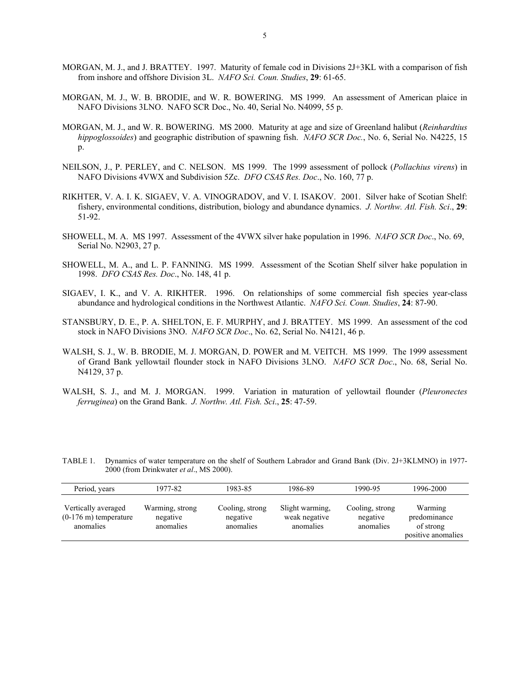- MORGAN, M. J., and J. BRATTEY. 1997. Maturity of female cod in Divisions 2J+3KL with a comparison of fish from inshore and offshore Division 3L. *NAFO Sci. Coun. Studies*, **29**: 61-65.
- MORGAN, M. J., W. B. BRODIE, and W. R. BOWERING. MS 1999. An assessment of American plaice in NAFO Divisions 3LNO. NAFO SCR Doc., No. 40, Serial No. N4099, 55 p.
- MORGAN, M. J., and W. R. BOWERING. MS 2000. Maturity at age and size of Greenland halibut (*Reinhardtius hippoglossoides*) and geographic distribution of spawning fish. *NAFO SCR Doc.*, No. 6, Serial No. N4225, 15 p.
- NEILSON, J., P. PERLEY, and C. NELSON. MS 1999. The 1999 assessment of pollock (*Pollachius virens*) in NAFO Divisions 4VWX and Subdivision 5Zc. *DFO CSAS Res. Doc*., No. 160, 77 p.
- RIKHTER, V. A. I. K. SIGAEV, V. A. VINOGRADOV, and V. I. ISAKOV. 2001. Silver hake of Scotian Shelf: fishery, environmental conditions, distribution, biology and abundance dynamics. *J. Northw. Atl. Fish. Sci*., **29**: 51-92.
- SHOWELL, M. A. MS 1997. Assessment of the 4VWX silver hake population in 1996. *NAFO SCR Doc*., No. 69, Serial No. N2903, 27 p.
- SHOWELL, M. A., and L. P. FANNING. MS 1999. Assessment of the Scotian Shelf silver hake population in 1998. *DFO CSAS Res. Doc*., No. 148, 41 p.
- SIGAEV, I. K., and V. A. RIKHTER. 1996. On relationships of some commercial fish species year-class abundance and hydrological conditions in the Northwest Atlantic. *NAFO Sci. Coun. Studies*, **24**: 87-90.
- STANSBURY, D. E., P. A. SHELTON, E. F. MURPHY, and J. BRATTEY. MS 1999. An assessment of the cod stock in NAFO Divisions 3NO. *NAFO SCR Doc*., No. 62, Serial No. N4121, 46 p.
- WALSH, S. J., W. B. BRODIE, M. J. MORGAN, D. POWER and M. VEITCH. MS 1999. The 1999 assessment of Grand Bank yellowtail flounder stock in NAFO Divisions 3LNO. *NAFO SCR Doc*., No. 68, Serial No. N4129, 37 p.
- WALSH, S. J., and M. J. MORGAN. 1999. Variation in maturation of yellowtail flounder (*Pleuronectes ferruginea*) on the Grand Bank. *J. Northw. Atl. Fish. Sci*., **25**: 47-59.

| Period, years                                                       | 1977-82                                  | 1983-85                                  | 1986-89                                       | 1990-95                                  | 1996-2000                                                  |
|---------------------------------------------------------------------|------------------------------------------|------------------------------------------|-----------------------------------------------|------------------------------------------|------------------------------------------------------------|
| Vertically averaged<br>$(0-176 \text{ m})$ temperature<br>anomalies | Warming, strong<br>negative<br>anomalies | Cooling, strong<br>negative<br>anomalies | Slight warming.<br>weak negative<br>anomalies | Cooling, strong<br>negative<br>anomalies | Warming<br>predominance<br>of strong<br>positive anomalies |

TABLE 1. Dynamics of water temperature on the shelf of Southern Labrador and Grand Bank (Div. 2J+3KLMNO) in 1977- 2000 (from Drinkwater *et al*., MS 2000).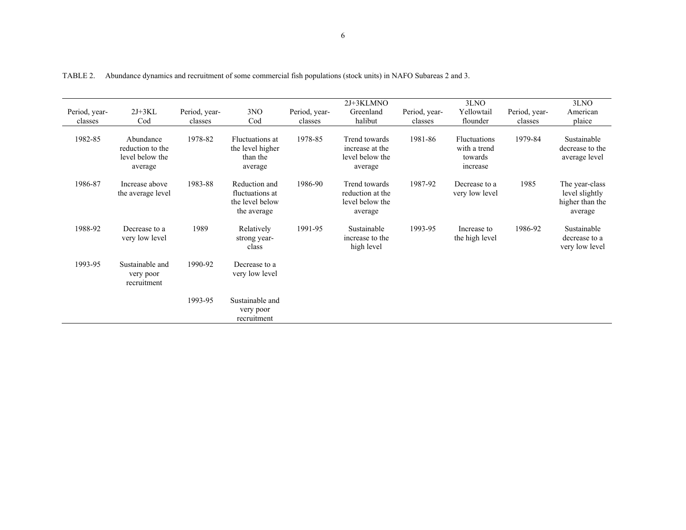| Period, year-<br>classes | $2J+3KL$<br>Cod                                             | Period, year-<br>classes | 3NO<br>Cod                                                         | Period, year-<br>classes | $2J+3KLMNO$<br>Greenland<br>halibut                             | Period, year-<br>classes | 3LNO<br>Yellowtail<br>flounder                             | Period, year-<br>classes | 3LNO<br>American<br>plaice                                     |
|--------------------------|-------------------------------------------------------------|--------------------------|--------------------------------------------------------------------|--------------------------|-----------------------------------------------------------------|--------------------------|------------------------------------------------------------|--------------------------|----------------------------------------------------------------|
| 1982-85                  | Abundance<br>reduction to the<br>level below the<br>average | 1978-82                  | Fluctuations at<br>the level higher<br>than the<br>average         | 1978-85                  | Trend towards<br>increase at the<br>level below the<br>average  | 1981-86                  | <b>Fluctuations</b><br>with a trend<br>towards<br>increase | 1979-84                  | Sustainable<br>decrease to the<br>average level                |
| 1986-87                  | Increase above<br>the average level                         | 1983-88                  | Reduction and<br>fluctuations at<br>the level below<br>the average | 1986-90                  | Trend towards<br>reduction at the<br>level below the<br>average | 1987-92                  | Decrease to a<br>very low level                            | 1985                     | The year-class<br>level slightly<br>higher than the<br>average |
| 1988-92                  | Decrease to a<br>very low level                             | 1989                     | Relatively<br>strong year-<br>class                                | 1991-95                  | Sustainable<br>increase to the<br>high level                    | 1993-95                  | Increase to<br>the high level                              | 1986-92                  | Sustainable<br>decrease to a<br>very low level                 |
| 1993-95                  | Sustainable and<br>very poor<br>recruitment                 | 1990-92                  | Decrease to a<br>very low level                                    |                          |                                                                 |                          |                                                            |                          |                                                                |
|                          |                                                             | 1993-95                  | Sustainable and<br>very poor<br>recruitment                        |                          |                                                                 |                          |                                                            |                          |                                                                |

TABLE 2. Abundance dynamics and recruitment of some commercial fish populations (stock units) in NAFO Subareas 2 and 3.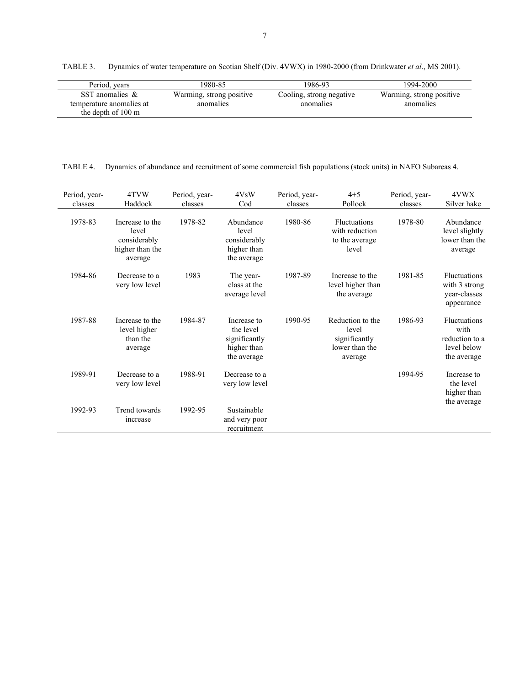TABLE 3. Dynamics of water temperature on Scotian Shelf (Div. 4VWX) in 1980-2000 (from Drinkwater *et al*., MS 2001).

| Period, years                                  | 1980-85                               | 1986-93                               | 1994-2000                             |
|------------------------------------------------|---------------------------------------|---------------------------------------|---------------------------------------|
| SST anomalies $\&$<br>temperature anomalies at | Warming, strong positive<br>anomalies | Cooling, strong negative<br>anomalies | Warming, strong positive<br>anomalies |
| the depth of 100 m                             |                                       |                                       |                                       |

TABLE 4. Dynamics of abundance and recruitment of some commercial fish populations (stock units) in NAFO Subareas 4.

| Period, year- | 4TVW                                                                   | Period, year- | 4VsW                                                                    | Period, year- | $4 + 5$                                                                 | Period, year- | 4VWX                                                                        |
|---------------|------------------------------------------------------------------------|---------------|-------------------------------------------------------------------------|---------------|-------------------------------------------------------------------------|---------------|-----------------------------------------------------------------------------|
| classes       | Haddock                                                                | classes       | Cod                                                                     | classes       | Pollock                                                                 | classes       | Silver hake                                                                 |
| 1978-83       | Increase to the<br>level<br>considerably<br>higher than the<br>average | 1978-82       | Abundance<br>level<br>considerably<br>higher than<br>the average        | 1980-86       | Fluctuations<br>with reduction<br>to the average<br>level               | 1978-80       | Abundance<br>level slightly<br>lower than the<br>average                    |
| 1984-86       | Decrease to a<br>very low level                                        | 1983          | The year-<br>class at the<br>average level                              | 1987-89       | Increase to the<br>level higher than<br>the average                     | 1981-85       | <b>Fluctuations</b><br>with 3 strong<br>year-classes<br>appearance          |
| 1987-88       | Increase to the<br>level higher<br>than the<br>average                 | 1984-87       | Increase to<br>the level<br>significantly<br>higher than<br>the average | 1990-95       | Reduction to the<br>level<br>significantly<br>lower than the<br>average | 1986-93       | <b>Fluctuations</b><br>with<br>reduction to a<br>level below<br>the average |
| 1989-91       | Decrease to a<br>very low level                                        | 1988-91       | Decrease to a<br>very low level                                         |               |                                                                         | 1994-95       | Increase to<br>the level<br>higher than<br>the average                      |
| 1992-93       | <b>Trend towards</b><br>increase                                       | 1992-95       | Sustainable<br>and very poor<br>recruitment                             |               |                                                                         |               |                                                                             |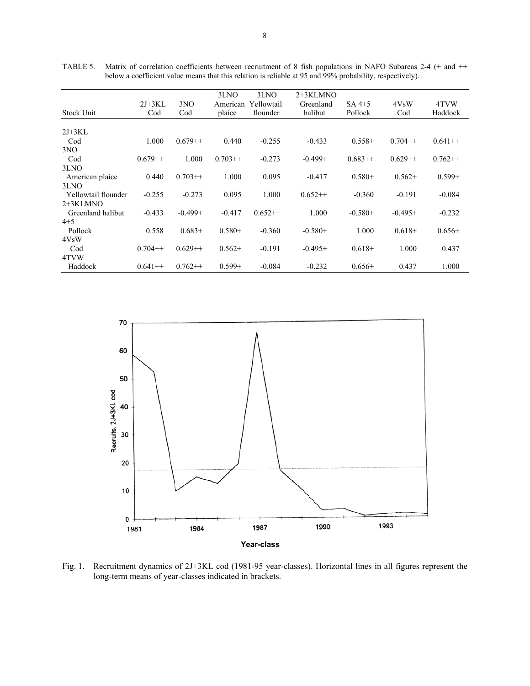|                     |           |           | 3LNO      | 3LNO       | $2+3KLMNO$ |           |                   |           |
|---------------------|-----------|-----------|-----------|------------|------------|-----------|-------------------|-----------|
|                     | $2J+3KL$  | 3NO       | American  | Yellowtail | Greenland  | $SA4+5$   | 4V <sub>S</sub> W | 4TVW      |
| Stock Unit          | Cod       | Cod       | plaice    | flounder   | halibut    | Pollock   | Cod               | Haddock   |
|                     |           |           |           |            |            |           |                   |           |
| $2J+3KL$            |           |           |           |            |            |           |                   |           |
| Cod                 | 1.000     | $0.679++$ | 0.440     | $-0.255$   | $-0.433$   | $0.558+$  | $0.704++$         | $0.641++$ |
| 3NO                 |           |           |           |            |            |           |                   |           |
| Cod                 | $0.679++$ | 1.000     | $0.703++$ | $-0.273$   | $-0.499+$  | $0.683++$ | $0.629++$         | $0.762++$ |
| 3LNO                |           |           |           |            |            |           |                   |           |
| American plaice     | 0.440     | $0.703++$ | 1.000     | 0.095      | $-0.417$   | $0.580+$  | $0.562+$          | $0.599+$  |
| 3LNO                |           |           |           |            |            |           |                   |           |
| Yellowtail flounder | $-0.255$  | $-0.273$  | 0.095     | 1.000      | $0.652++$  | $-0.360$  | $-0.191$          | $-0.084$  |
| 2+3KLMNO            |           |           |           |            |            |           |                   |           |
| Greenland halibut   | $-0.433$  | $-0.499+$ | $-0.417$  | $0.652++$  | 1.000      | $-0.580+$ | $-0.495+$         | $-0.232$  |
| $4 + 5$             |           |           |           |            |            |           |                   |           |
| Pollock             | 0.558     | $0.683+$  | $0.580+$  | $-0.360$   | $-0.580+$  | 1.000     | $0.618+$          | $0.656+$  |
| 4VsW                |           |           |           |            |            |           |                   |           |
| Cod                 | $0.704++$ | $0.629++$ | $0.562+$  | $-0.191$   | $-0.495+$  | $0.618+$  | 1.000             | 0.437     |
| 4TVW                |           |           |           |            |            |           |                   |           |
| Haddock             | $0.641++$ | $0.762++$ | $0.599+$  | $-0.084$   | $-0.232$   | $0.656+$  | 0.437             | 1.000     |

TABLE 5. Matrix of correlation coefficients between recruitment of 8 fish populations in NAFO Subareas 2-4 (+ and ++ below a coefficient value means that this relation is reliable at 95 and 99% probability, respectively).



Fig. 1. Recruitment dynamics of 2J+3KL cod (1981-95 year-classes). Horizontal lines in all figures represent the long-term means of year-classes indicated in brackets.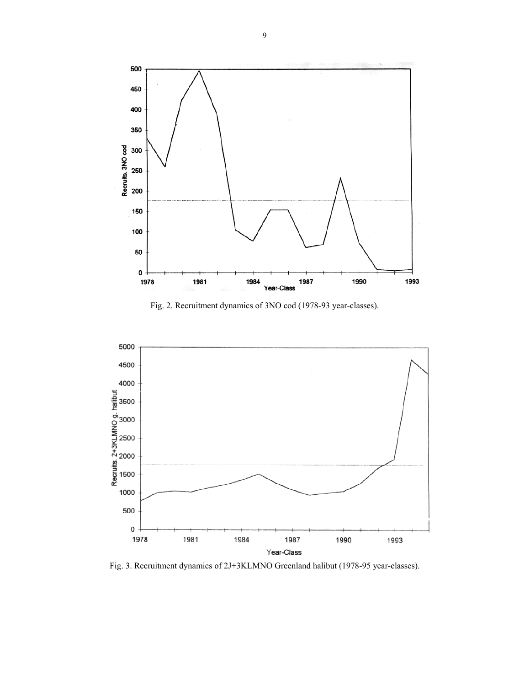

Fig. 2. Recruitment dynamics of 3NO cod (1978-93 year-classes).



Fig. 3. Recruitment dynamics of 2J+3KLMNO Greenland halibut (1978-95 year-classes).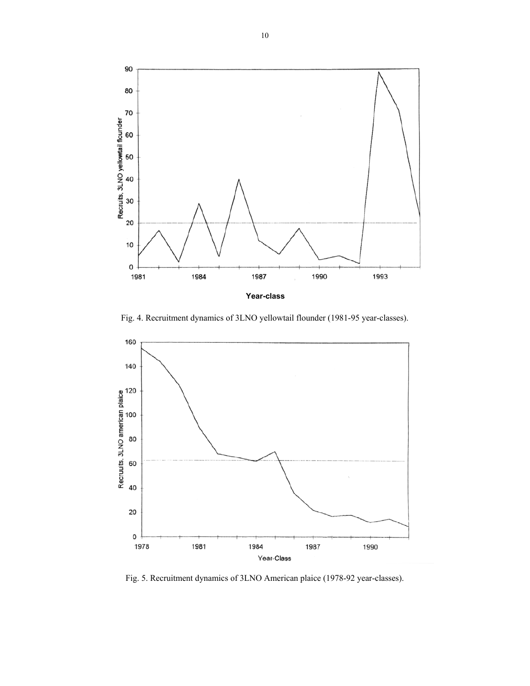

Fig. 4. Recruitment dynamics of 3LNO yellowtail flounder (1981-95 year-classes).



Fig. 5. Recruitment dynamics of 3LNO American plaice (1978-92 year-classes).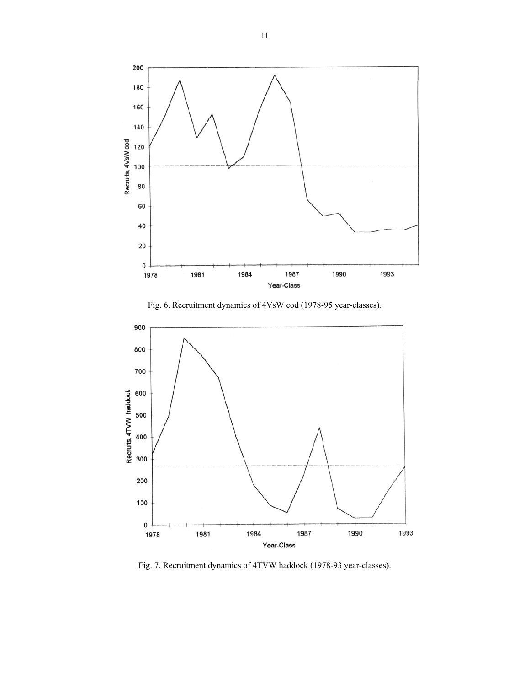

Fig. 6. Recruitment dynamics of 4VsW cod (1978-95 year-classes).



Fig. 7. Recruitment dynamics of 4TVW haddock (1978-93 year-classes).